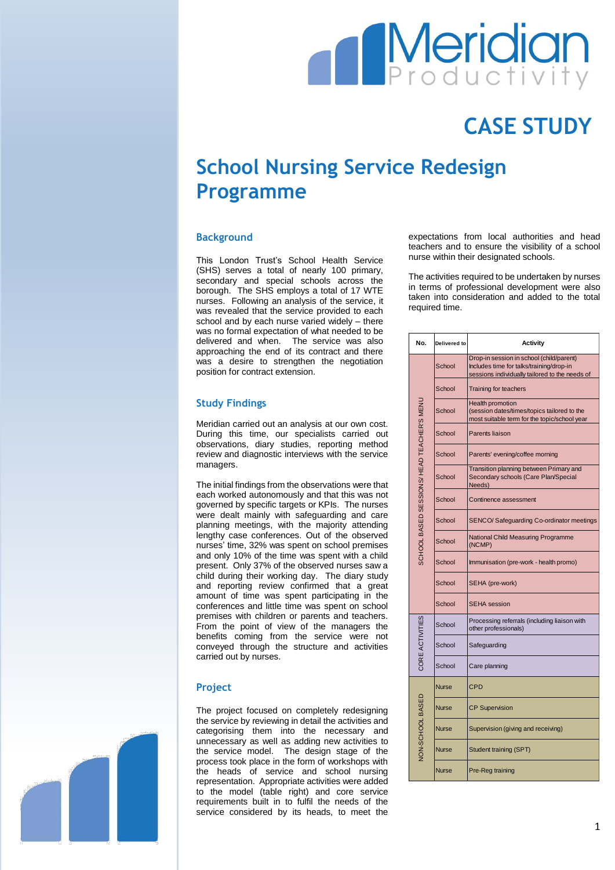# **Meridiar**

## **CASE STUDY**

### **School Nursing Service Redesign Programme**

#### **Background**

This London Trust's School Health Service (SHS) serves a total of nearly 100 primary, secondary and special schools across the borough. The SHS employs a total of 17 WTE nurses. Following an analysis of the service, it was revealed that the service provided to each school and by each nurse varied widely – there was no formal expectation of what needed to be delivered and when. The service was also approaching the end of its contract and there was a desire to strengthen the negotiation position for contract extension.

#### **Study Findings**

Meridian carried out an analysis at our own cost. During this time, our specialists carried out observations, diary studies, reporting method review and diagnostic interviews with the service managers.

The initial findings from the observations were that each worked autonomously and that this was not governed by specific targets or KPIs. The nurses were dealt mainly with safeguarding and care planning meetings, with the majority attending lengthy case conferences. Out of the observed nurses' time, 32% was spent on school premises and only 10% of the time was spent with a child present. Only 37% of the observed nurses saw a child during their working day. The diary study and reporting review confirmed that a great amount of time was spent participating in the conferences and little time was spent on school premises with children or parents and teachers. From the point of view of the managers the benefits coming from the service were not conveyed through the structure and activities carried out by nurses.

#### **Project**

The project focused on completely redesigning the service by reviewing in detail the activities and categorising them into the necessary and unnecessary as well as adding new activities to the service model. The design stage of the process took place in the form of workshops with the heads of service and school nursing representation. Appropriate activities were added to the model (table right) and core service requirements built in to fulfil the needs of the service considered by its heads, to meet the

expectations from local authorities and head teachers and to ensure the visibility of a school nurse within their designated schools.

The activities required to be undertaken by nurses in terms of professional development were also taken into consideration and added to the total required time.

| No.                                        | Delivered to | <b>Activity</b>                                                                                                                        |
|--------------------------------------------|--------------|----------------------------------------------------------------------------------------------------------------------------------------|
| SCHOOL BASED SESSIONS/ HEAD TEACHER'S MENU | School       | Drop-in session in school (child/parent)<br>Includes time for talks/training/drop-in<br>sessions individually tailored to the needs of |
|                                            | School       | Training for teachers                                                                                                                  |
|                                            | School       | Health promotion<br>(session dates/times/topics tailored to the<br>most suitable term for the topic/school year                        |
|                                            | School       | Parents liaison                                                                                                                        |
|                                            | School       | Parents' evening/coffee morning                                                                                                        |
|                                            | School       | Transition planning between Primary and<br>Secondary schools (Care Plan/Special<br>Needs)                                              |
|                                            | School       | Continence assessment                                                                                                                  |
|                                            | School       | SENCO/Safeguarding Co-ordinator meetings                                                                                               |
|                                            | School       | National Child Measuring Programme<br>(NCMP)                                                                                           |
|                                            | School       | Immunisation (pre-work - health promo)                                                                                                 |
|                                            | School       | SEHA (pre-work)                                                                                                                        |
|                                            | School       | <b>SEHA</b> session                                                                                                                    |
| CORE ACTIVITIES                            | School       | Processing referrals (including liaison with<br>other professionals)                                                                   |
|                                            | School       | Safeguarding                                                                                                                           |
|                                            | School       | Care planning                                                                                                                          |
| NON-SCHOOL BASED                           | <b>Nurse</b> | CPD                                                                                                                                    |
|                                            | Nurse        | <b>CP Supervision</b>                                                                                                                  |
|                                            | <b>Nurse</b> | Supervision (giving and receiving)                                                                                                     |
|                                            | <b>Nurse</b> | Student training (SPT)                                                                                                                 |
|                                            | <b>Nurse</b> | Pre-Reg training                                                                                                                       |